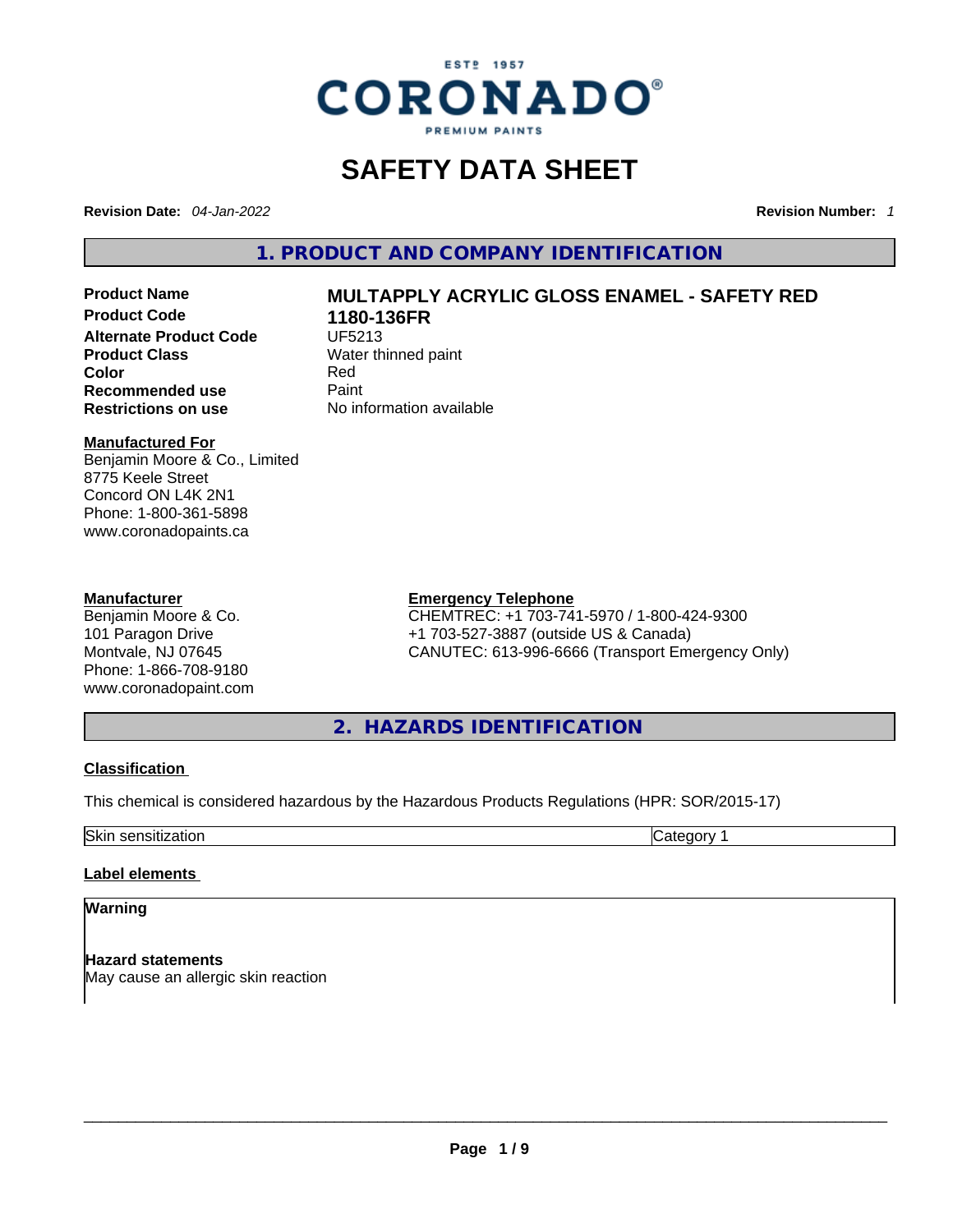

# **SAFETY DATA SHEET**

**Revision Date:** *04-Jan-2022* **Revision Number:** *1*

**1. PRODUCT AND COMPANY IDENTIFICATION** 

**Product Code 1180-136FR Alternate Product Code UF5213 Product Class Water thinned paint**<br> **Color** Red **Color** Red **Recommended use Faint Paint<br>
<b>Restrictions on use** Mo information available **Restrictions** on use

# **Product Name MULTAPPLY ACRYLIC GLOSS ENAMEL - SAFETY RED**

#### **Manufactured For**

Benjamin Moore & Co., Limited 8775 Keele Street Concord ON L4K 2N1 Phone: 1-800-361-5898 www.coronadopaints.ca

#### **Manufacturer**

Benjamin Moore & Co. 101 Paragon Drive Montvale, NJ 07645 Phone: 1-866-708-9180 www.coronadopaint.com

# **Emergency Telephone**

CHEMTREC: +1 703-741-5970 / 1-800-424-9300 +1 703-527-3887 (outside US & Canada) CANUTEC: 613-996-6666 (Transport Emergency Only)

**2. HAZARDS IDENTIFICATION** 

# **Classification**

This chemical is considered hazardous by the Hazardous Products Regulations (HPR: SOR/2015-17)

Skin sensitization **Category 1** 

# **Label elements**

# **Warning**

**Hazard statements** May cause an allergic skin reaction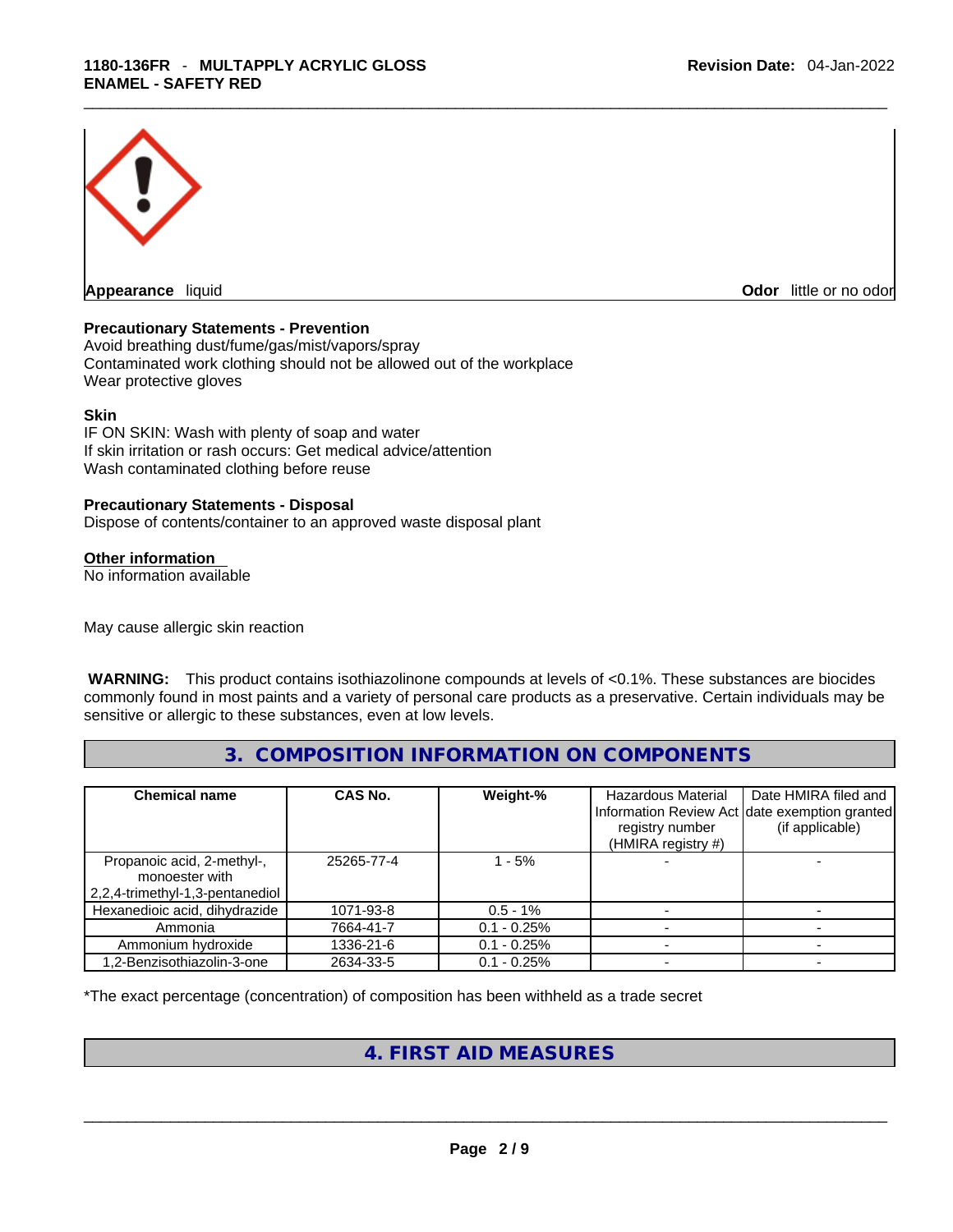

**Appearance** liquid **Odor 11** and **Odor 11** and **Odor 11** and **Odor 11** and **Odor 11** and **Odor** 11 and **Odor** 11 and **Odor** 11 and **Odor** 11 and **Odor** 11 and **Odor** 11 and **Odor** 11 and **Odor** 11 and **Odor** 11 and **Odor** 

# **Precautionary Statements - Prevention**

Avoid breathing dust/fume/gas/mist/vapors/spray Contaminated work clothing should not be allowed out of the workplace Wear protective gloves

#### **Skin**

IF ON SKIN: Wash with plenty of soap and water If skin irritation or rash occurs: Get medical advice/attention Wash contaminated clothing before reuse

#### **Precautionary Statements - Disposal**

Dispose of contents/container to an approved waste disposal plant

#### **Other information**

No information available

May cause allergic skin reaction

**WARNING:** This product contains isothiazolinone compounds at levels of <0.1%. These substances are biocides commonly found in most paints and a variety of personal care products as a preservative. Certain individuals may be sensitive or allergic to these substances, even at low levels.

**3. COMPOSITION INFORMATION ON COMPONENTS** 

| <b>Chemical name</b>                                                            | CAS No.    | Weight-%      | Hazardous Material<br>registry number<br>(HMIRA registry #) | Date HMIRA filed and<br>Information Review Act date exemption granted<br>(if applicable) |
|---------------------------------------------------------------------------------|------------|---------------|-------------------------------------------------------------|------------------------------------------------------------------------------------------|
| Propanoic acid, 2-methyl-,<br>monoester with<br>2,2,4-trimethyl-1,3-pentanediol | 25265-77-4 | $-5%$         |                                                             |                                                                                          |
| Hexanedioic acid, dihydrazide                                                   | 1071-93-8  | $0.5 - 1\%$   |                                                             |                                                                                          |
| Ammonia                                                                         | 7664-41-7  | $0.1 - 0.25%$ |                                                             |                                                                                          |
| Ammonium hydroxide                                                              | 1336-21-6  | $0.1 - 0.25%$ |                                                             |                                                                                          |
| 1,2-Benzisothiazolin-3-one                                                      | 2634-33-5  | $0.1 - 0.25%$ |                                                             |                                                                                          |

\*The exact percentage (concentration) of composition has been withheld as a trade secret

# **4. FIRST AID MEASURES**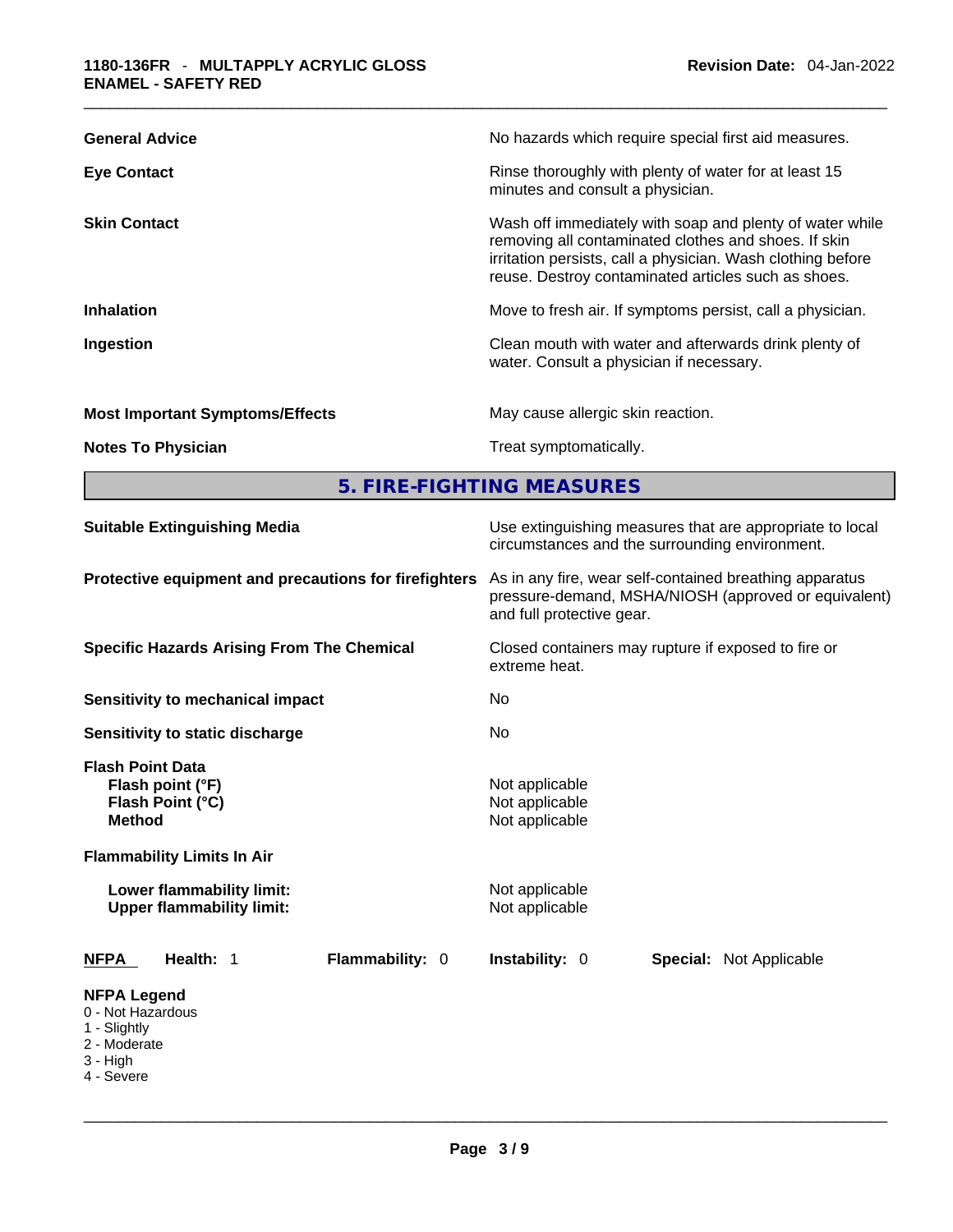| <b>General Advice</b>                  | No hazards which require special first aid measures.                                                                                                                                                                                   |
|----------------------------------------|----------------------------------------------------------------------------------------------------------------------------------------------------------------------------------------------------------------------------------------|
| <b>Eye Contact</b>                     | Rinse thoroughly with plenty of water for at least 15<br>minutes and consult a physician.                                                                                                                                              |
| <b>Skin Contact</b>                    | Wash off immediately with soap and plenty of water while<br>removing all contaminated clothes and shoes. If skin<br>irritation persists, call a physician. Wash clothing before<br>reuse. Destroy contaminated articles such as shoes. |
| <b>Inhalation</b>                      | Move to fresh air. If symptoms persist, call a physician.                                                                                                                                                                              |
| Ingestion                              | Clean mouth with water and afterwards drink plenty of<br>water. Consult a physician if necessary.                                                                                                                                      |
| <b>Most Important Symptoms/Effects</b> | May cause allergic skin reaction.                                                                                                                                                                                                      |
| <b>Notes To Physician</b>              | Treat symptomatically.                                                                                                                                                                                                                 |

**5. FIRE-FIGHTING MEASURES** 

| <b>Suitable Extinguishing Media</b>                                                                                                                                                    | Use extinguishing measures that are appropriate to local<br>circumstances and the surrounding environment.                                   |  |  |  |
|----------------------------------------------------------------------------------------------------------------------------------------------------------------------------------------|----------------------------------------------------------------------------------------------------------------------------------------------|--|--|--|
| Protective equipment and precautions for firefighters                                                                                                                                  | As in any fire, wear self-contained breathing apparatus<br>pressure-demand, MSHA/NIOSH (approved or equivalent)<br>and full protective gear. |  |  |  |
| <b>Specific Hazards Arising From The Chemical</b>                                                                                                                                      | Closed containers may rupture if exposed to fire or<br>extreme heat.                                                                         |  |  |  |
| <b>Sensitivity to mechanical impact</b>                                                                                                                                                | No.                                                                                                                                          |  |  |  |
| Sensitivity to static discharge                                                                                                                                                        | No                                                                                                                                           |  |  |  |
| <b>Flash Point Data</b><br>Flash point (°F)<br>Flash Point (°C)<br><b>Method</b><br><b>Flammability Limits In Air</b><br>Lower flammability limit:<br><b>Upper flammability limit:</b> | Not applicable<br>Not applicable<br>Not applicable<br>Not applicable<br>Not applicable                                                       |  |  |  |
| Health: 1<br>Flammability: 0<br><b>NFPA</b>                                                                                                                                            | <b>Instability: 0</b><br><b>Special: Not Applicable</b>                                                                                      |  |  |  |
| <b>NFPA Legend</b><br>0 - Not Hazardous<br>1 - Slightly<br>2 - Moderate<br>$3 - High$<br>4 - Severe                                                                                    |                                                                                                                                              |  |  |  |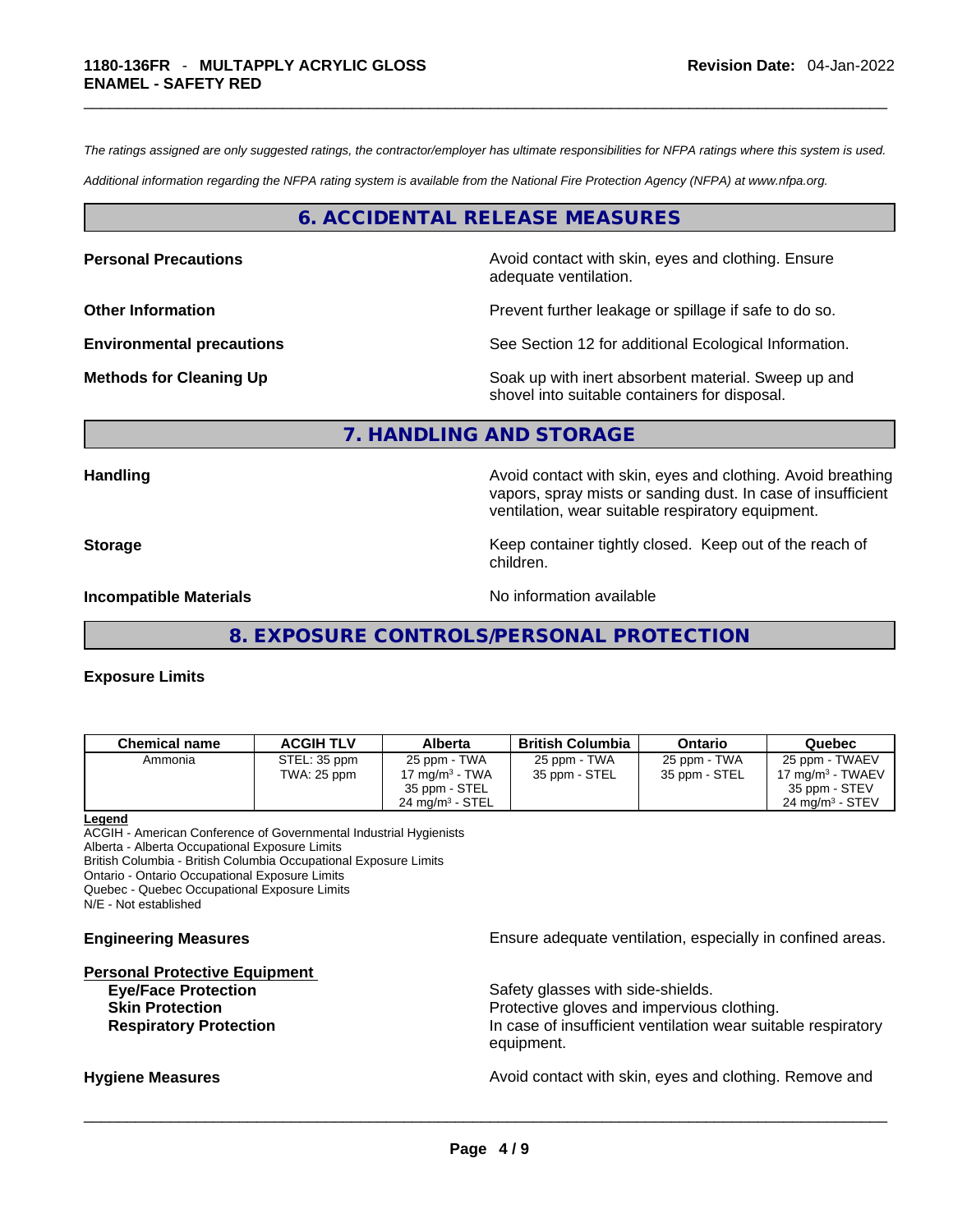*The ratings assigned are only suggested ratings, the contractor/employer has ultimate responsibilities for NFPA ratings where this system is used.* 

*Additional information regarding the NFPA rating system is available from the National Fire Protection Agency (NFPA) at www.nfpa.org.* 

## **6. ACCIDENTAL RELEASE MEASURES**

**Personal Precautions Avoid contact with skin, eyes and clothing. Ensure Personal Precautions** adequate ventilation.

**Other Information Discription Prevent further leakage or spillage if safe to do so.** 

**Environmental precautions** See Section 12 for additional Ecological Information.

**Methods for Cleaning Up Example 20 Soak** up with inert absorbent material. Sweep up and shovel into suitable containers for disposal.

#### **7. HANDLING AND STORAGE**

**Handling Handling Avoid contact with skin, eyes and clothing. Avoid breathing** vapors, spray mists or sanding dust. In case of insufficient ventilation, wear suitable respiratory equipment.

**Storage Example 20 Keep container tightly closed. Keep out of the reach of Keep** out of the reach of

**Incompatible Materials No information available** 

**8. EXPOSURE CONTROLS/PERSONAL PROTECTION** 

children.

#### **Exposure Limits**

| Chemical name | <b>ACGIH TLV</b> | <b>Alberta</b>             | <b>British Columbia</b> | Ontario       | Quebec                     |
|---------------|------------------|----------------------------|-------------------------|---------------|----------------------------|
| Ammonia       | STEL: 35 ppm     | 25 ppm - TWA               | 25 ppm - TWA            | 25 ppm - TWA  | 25 ppm - TWAEV             |
|               | TWA: 25 ppm      | 17 mg/m $3$ - TWA          | 35 ppm - STEL           | 35 ppm - STEL | 17 mg/m $3$ - TWAEV        |
|               |                  | 35 ppm - STEL              |                         |               | 35 ppm - STEV              |
|               |                  | $24 \text{ ma/m}^3$ - STEL |                         |               | $24 \text{ ma/m}^3$ - STEV |

**Legend**

ACGIH - American Conference of Governmental Industrial Hygienists Alberta - Alberta Occupational Exposure Limits

British Columbia - British Columbia Occupational Exposure Limits

Ontario - Ontario Occupational Exposure Limits

Quebec - Quebec Occupational Exposure Limits

N/E - Not established

#### **Personal Protective Equipment**

**Engineering Measures Ensure adequate ventilation, especially in confined areas.** 

**Eye/Face Protection Safety glasses with side-shields. Skin Protection Protection Protective gloves and impervious clothing. Respiratory Protection In case of insufficient ventilation wear suitable respiratory** equipment.

**Hygiene Measures Avoid contact with skin, eyes and clothing. Remove and Avoid contact with skin, eyes and clothing. Remove and**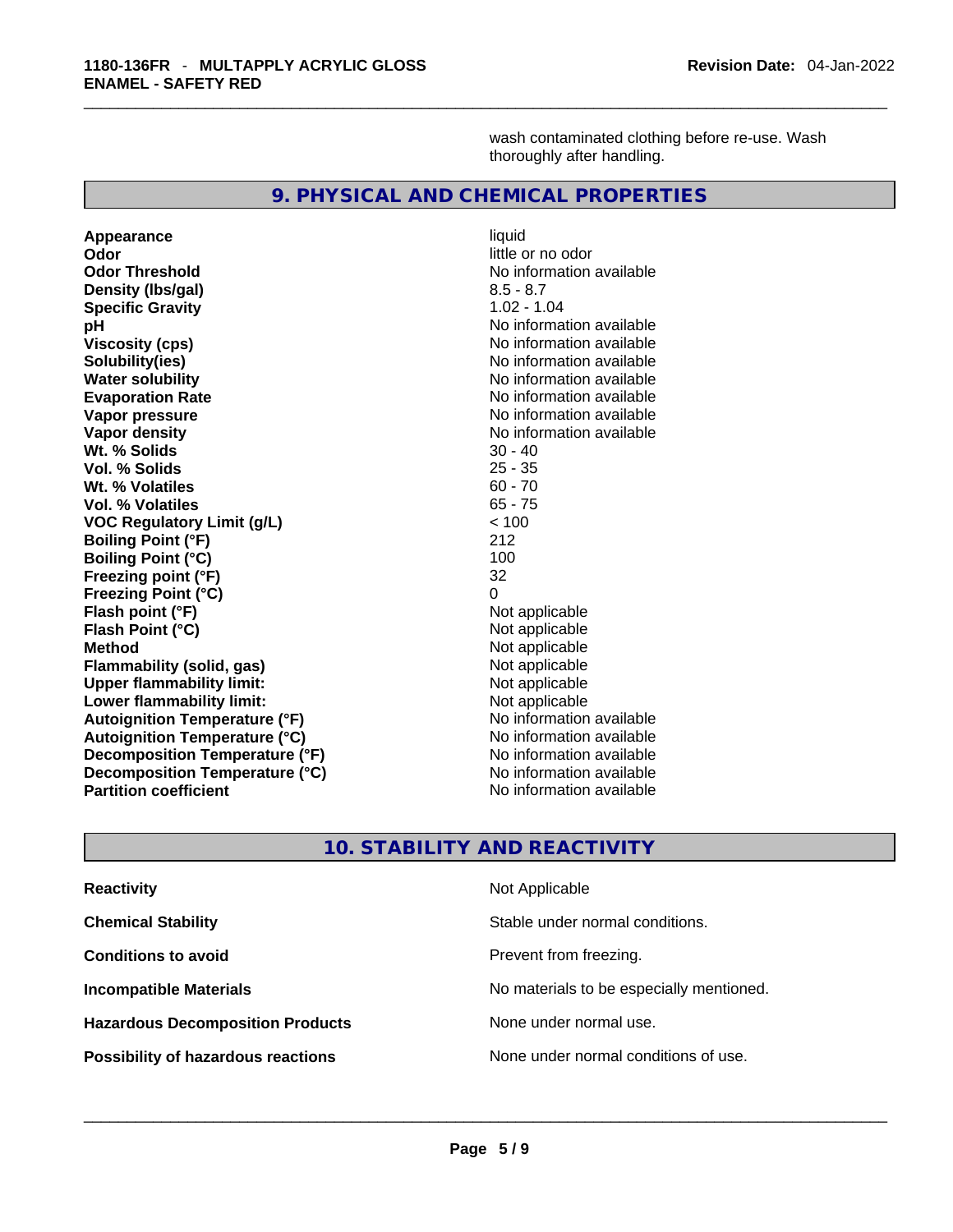wash contaminated clothing before re-use. Wash thoroughly after handling.

#### **9. PHYSICAL AND CHEMICAL PROPERTIES**

**Appearance** liquid **Odor little or no odor Odor Threshold**<br> **Density (Ibs/gal)**<br> **Density (Ibs/gal)**<br>
2.5 - 8.7 **Density** (Ibs/gal) **Specific Gravity** 1.02 - 1.04 **pH**<br>
Viscosity (cps) The Contract of the Contract of the Viscosity (cps) and Viscosity (cps) **Solubility(ies)**<br> **No information available**<br> **Water solubility**<br> **Water solubility Evaporation Rate No information available No information available Vapor pressure**  No information available **No information** available **Vapor density No information available No information available Wt. % Solids** 30 - 40 **Vol. % Solids** 25 - 35 **Wt. % Volatiles** 60 - 70 **Vol. % Volatiles VOC Regulatory Limit (g/L)**  $\leftarrow$  100<br> **Roiling Point (°F)** 212 **Boiling Point (°F) Boiling Point (°C)** 100 **Freezing point (°F)** 32 **Freezing Point (°C) Flash point (°F)** Not applicable **Flash Point (°C)** Not applicable **Method** Not applicable **Flammability (solid, gas)** Not applicable **Upper flammability limit:**<br> **Lower flammability limit:** Not applicable Not applicable **Lower flammability limit: Autoignition Temperature (°F)**<br> **Autoignition Temperature (°C)** No information available **Autoignition Temperature (°C)**<br> **Decomposition Temperature (°F)** No information available **Decomposition Temperature (°F) Decomposition Temperature (°C)** No information available **Partition coefficient** No information available

**Viscosity (cps)** No information available **No information available** 

# **10. STABILITY AND REACTIVITY**

| <b>Reactivity</b>                         | Not Applicable                           |
|-------------------------------------------|------------------------------------------|
| <b>Chemical Stability</b>                 | Stable under normal conditions.          |
| <b>Conditions to avoid</b>                | Prevent from freezing.                   |
| <b>Incompatible Materials</b>             | No materials to be especially mentioned. |
| <b>Hazardous Decomposition Products</b>   | None under normal use.                   |
| <b>Possibility of hazardous reactions</b> | None under normal conditions of use.     |
|                                           |                                          |
|                                           |                                          |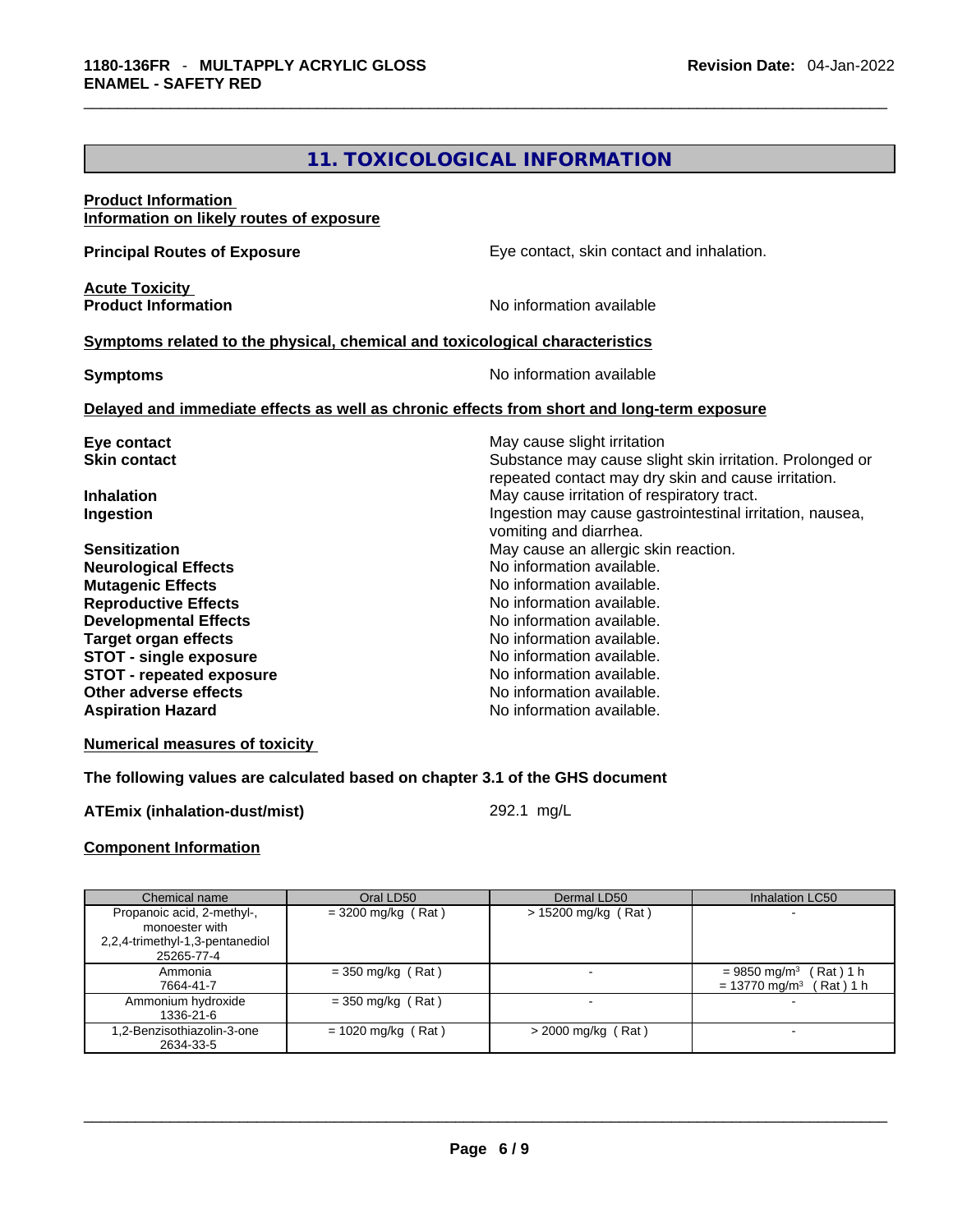# **11. TOXICOLOGICAL INFORMATION**

# **Product Information Information on likely routes of exposure Principal Routes of Exposure Exposure** Eye contact, skin contact and inhalation. **Acute Toxicity Product Information Information No information available Symptoms** related to the physical, chemical and toxicological characteristics **Symptoms Symptoms No information available Delayed and immediate effects as well as chronic effects from short and long-term exposure Eye contact Exercise 3 May cause slight irritation Skin contact Substance may cause slight skin irritation. Prolonged or** Substance may cause slight skin irritation. Prolonged or repeated contact may dry skin and cause irritation. **Inhalation Inhalation Inhalation May cause irritation of respiratory tract. Ingestion Ingestion Index is a structure of the line of the line of the line of the line of the line of the line of the line of the line of the line of the line of the line of the line of the line of the line of the l** vomiting and diarrhea. **Sensitization May cause an allergic skin reaction.** May cause an allergic skin reaction. **Neurological Effects** No information available. **Mutagenic Effects Mutagenic Effects No information available. Reproductive Effects No information available.** No information available. **Developmental Effects No information available. Target organ effects and intervalse in the set of the No information available. STOT -** single exposure<br> **STOT -** repeated exposure<br> **STOT -** repeated exposure<br>
No information available. **STOT** - repeated exposure<br>Other adverse effects No information available. **Aspiration Hazard**  No information available.

#### **Numerical measures of toxicity**

#### **The following values are calculated based on chapter 3.1 of the GHS document**

#### **ATEmix (inhalation-dust/mist)** 292.1 mg/L

#### **Component Information**

| Chemical name                                                                                 | Oral LD50            | Dermal LD50           | Inhalation LC50                                                                  |
|-----------------------------------------------------------------------------------------------|----------------------|-----------------------|----------------------------------------------------------------------------------|
| Propanoic acid, 2-methyl-,<br>monoester with<br>2,2,4-trimethyl-1,3-pentanediol<br>25265-77-4 | $=$ 3200 mg/kg (Rat) | $> 15200$ mg/kg (Rat) |                                                                                  |
| Ammonia<br>7664-41-7                                                                          | $=$ 350 mg/kg (Rat)  |                       | $= 9850$ mg/m <sup>3</sup> (Rat) 1 h<br>Rat ) 1 h<br>$= 13770$ mg/m <sup>3</sup> |
| Ammonium hydroxide<br>1336-21-6                                                               | $=$ 350 mg/kg (Rat)  | -                     |                                                                                  |
| 1,2-Benzisothiazolin-3-one<br>2634-33-5                                                       | $= 1020$ mg/kg (Rat) | $>$ 2000 mg/kg (Rat)  |                                                                                  |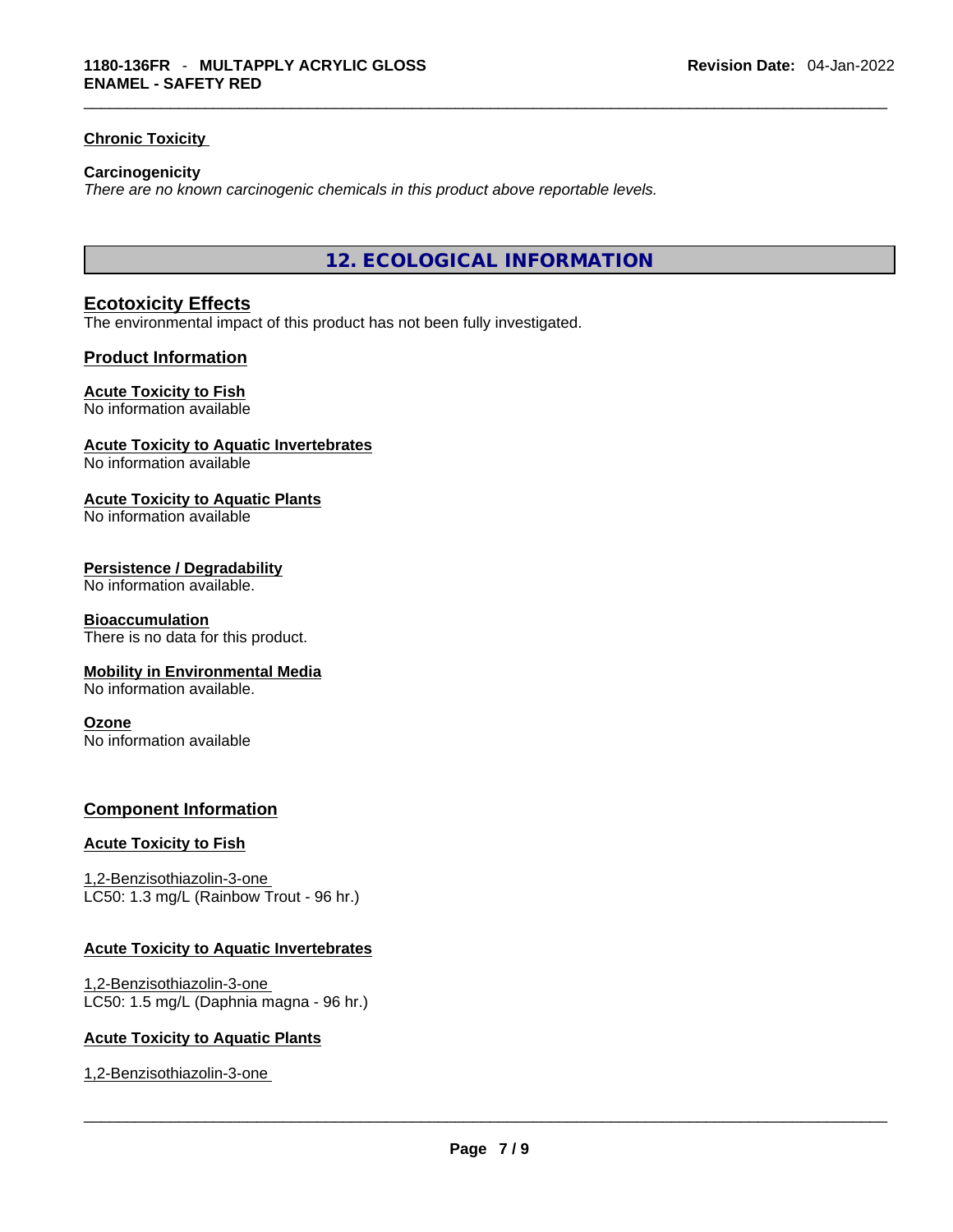# **Chronic Toxicity**

#### **Carcinogenicity**

*There are no known carcinogenic chemicals in this product above reportable levels.* 

**12. ECOLOGICAL INFORMATION** 

# **Ecotoxicity Effects**

The environmental impact of this product has not been fully investigated.

#### **Product Information**

#### **Acute Toxicity to Fish**

No information available

# **Acute Toxicity to Aquatic Invertebrates**

No information available

#### **Acute Toxicity to Aquatic Plants**

No information available

#### **Persistence / Degradability**

No information available.

#### **Bioaccumulation**

There is no data for this product.

#### **Mobility in Environmental Media**

No information available.

#### **Ozone**

No information available

#### **Component Information**

#### **Acute Toxicity to Fish**

1,2-Benzisothiazolin-3-one LC50: 1.3 mg/L (Rainbow Trout - 96 hr.)

#### **Acute Toxicity to Aquatic Invertebrates**

1,2-Benzisothiazolin-3-one LC50: 1.5 mg/L (Daphnia magna - 96 hr.)

#### **Acute Toxicity to Aquatic Plants**

1,2-Benzisothiazolin-3-one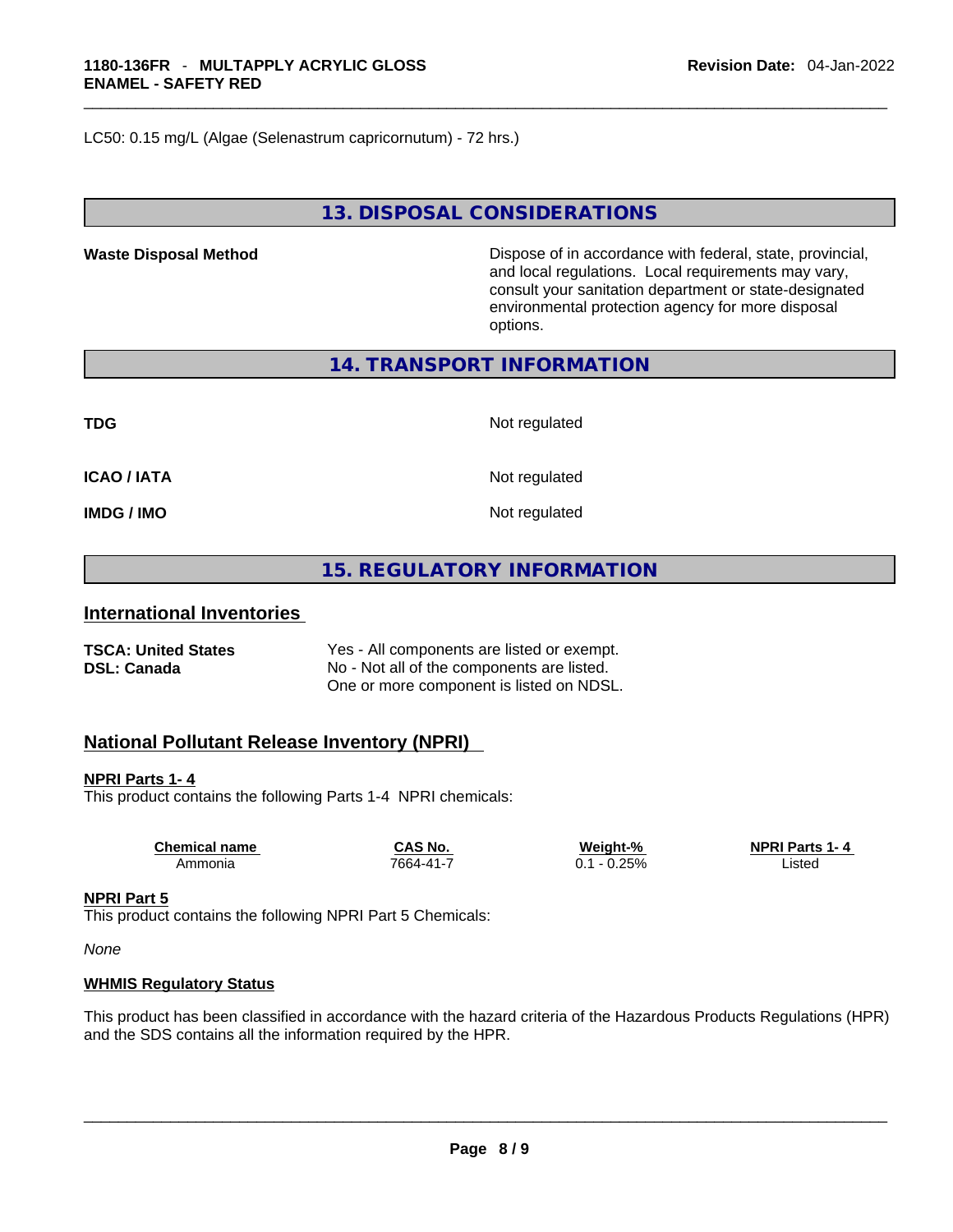LC50: 0.15 mg/L (Algae (Selenastrum capricornutum) - 72 hrs.)

# **13. DISPOSAL CONSIDERATIONS**

**Waste Disposal Method** Dispose of in accordance with federal, state, provincial, and local regulations. Local requirements may vary, consult your sanitation department or state-designated environmental protection agency for more disposal options.

**14. TRANSPORT INFORMATION** 

**ICAO / IATA** Not regulated

**TDG** Not regulated

**IMDG / IMO Not regulated** 

**15. REGULATORY INFORMATION** 

#### **International Inventories**

| <b>TSCA: United States</b> | Yes - All components are listed or exempt. |
|----------------------------|--------------------------------------------|
| DSL: Canada                | No - Not all of the components are listed. |
|                            | One or more component is listed on NDSL.   |

# **National Pollutant Release Inventory (NPRI)**

**NPRI Parts 1- 4**

This product contains the following Parts 1-4 NPRI chemicals:

| <b>Chemical name</b> | CAS No          | Weight-%    | <b>NPRI Parts 1-4</b> |
|----------------------|-----------------|-------------|-----------------------|
| Ammonia              | $7664 - 41 - 7$ | 0.25%<br>υ. | Listed                |
|                      |                 |             |                       |

#### **NPRI Part 5**

This product contains the following NPRI Part 5 Chemicals:

*None*

#### **WHMIS Regulatory Status**

This product has been classified in accordance with the hazard criteria of the Hazardous Products Regulations (HPR) and the SDS contains all the information required by the HPR. \_\_\_\_\_\_\_\_\_\_\_\_\_\_\_\_\_\_\_\_\_\_\_\_\_\_\_\_\_\_\_\_\_\_\_\_\_\_\_\_\_\_\_\_\_\_\_\_\_\_\_\_\_\_\_\_\_\_\_\_\_\_\_\_\_\_\_\_\_\_\_\_\_\_\_\_\_\_\_\_\_\_\_\_\_\_\_\_\_\_\_\_\_